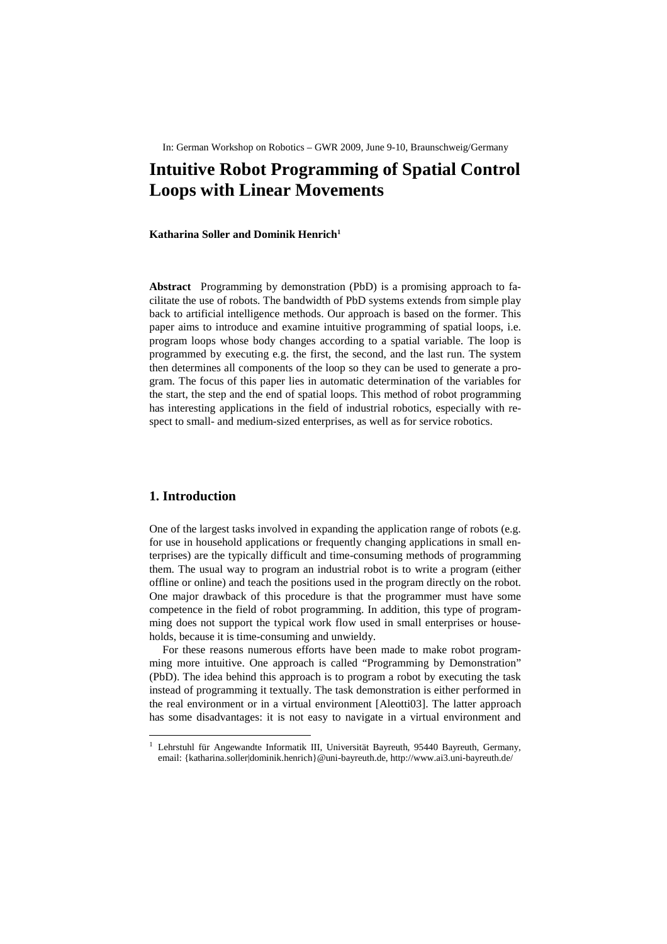In: German Workshop on Robotics – GWR 2009, June 9-10, Braunschweig/Germany

# **Intuitive Robot Programming of Spatial Control Loops with Linear Movements**

#### **Katharina Soller and Dominik Henrich<sup>1</sup>**

**Abstract** Programming by demonstration (PbD) is a promising approach to facilitate the use of robots. The bandwidth of PbD systems extends from simple play back to artificial intelligence methods. Our approach is based on the former. This paper aims to introduce and examine intuitive programming of spatial loops, i.e. program loops whose body changes according to a spatial variable. The loop is programmed by executing e.g. the first, the second, and the last run. The system then determines all components of the loop so they can be used to generate a program. The focus of this paper lies in automatic determination of the variables for the start, the step and the end of spatial loops. This method of robot programming has interesting applications in the field of industrial robotics, especially with respect to small- and medium-sized enterprises, as well as for service robotics.

### **1. Introduction**

 $\overline{a}$ 

One of the largest tasks involved in expanding the application range of robots (e.g. for use in household applications or frequently changing applications in small enterprises) are the typically difficult and time-consuming methods of programming them. The usual way to program an industrial robot is to write a program (either offline or online) and teach the positions used in the program directly on the robot. One major drawback of this procedure is that the programmer must have some competence in the field of robot programming. In addition, this type of programming does not support the typical work flow used in small enterprises or households, because it is time-consuming and unwieldy.

For these reasons numerous efforts have been made to make robot programming more intuitive. One approach is called "Programming by Demonstration" (PbD). The idea behind this approach is to program a robot by executing the task instead of programming it textually. The task demonstration is either performed in the real environment or in a virtual environment [Aleotti03]. The latter approach has some disadvantages: it is not easy to navigate in a virtual environment and

<sup>&</sup>lt;sup>1</sup> Lehrstuhl für Angewandte Informatik III, Universität Bayreuth, 95440 Bayreuth, Germany, email: {katharina.soller|dominik.henrich}@uni-bayreuth.de, http://www.ai3.uni-bayreuth.de/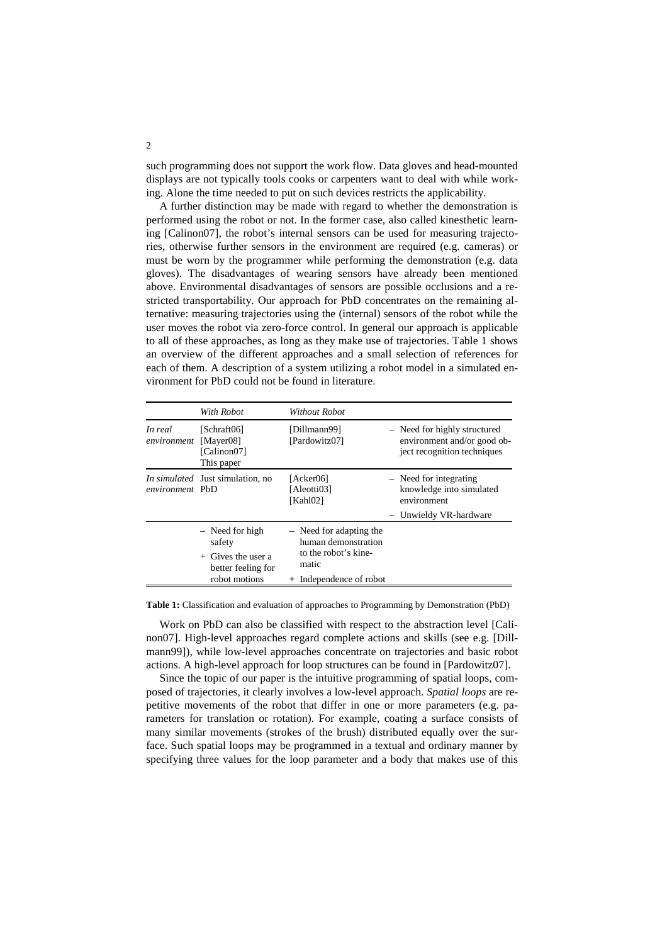such programming does not support the work flow. Data gloves and head-mounted displays are not typically tools cooks or carpenters want to deal with while working. Alone the time needed to put on such devices restricts the applicability.

A further distinction may be made with regard to whether the demonstration is performed using the robot or not. In the former case, also called kinesthetic learning [Calinon07], the robot's internal sensors can be used for measuring trajectories, otherwise further sensors in the environment are required (e.g. cameras) or must be worn by the programmer while performing the demonstration (e.g. data gloves). The disadvantages of wearing sensors have already been mentioned above. Environmental disadvantages of sensors are possible occlusions and a restricted transportability. Our approach for PbD concentrates on the remaining alternative: measuring trajectories using the (internal) sensors of the robot while the user moves the robot via zero-force control. In general our approach is applicable to all of these approaches, as long as they make use of trajectories. Table 1 shows an overview of the different approaches and a small selection of references for each of them. A description of a system utilizing a robot model in a simulated environment for PbD could not be found in literature.

|                        | With Robot                                                                | <b>Without Robot</b>                                                              |                                                                                            |
|------------------------|---------------------------------------------------------------------------|-----------------------------------------------------------------------------------|--------------------------------------------------------------------------------------------|
| In real<br>environment | [Schraft06]<br>[Mayer08]<br>[Calinon07]<br>This paper                     | [Dillmann99]<br>[Pardowitz07]                                                     | - Need for highly structured<br>environment and/or good ob-<br>ject recognition techniques |
| environment PbD        | <i>In simulated</i> Just simulation, no                                   | [Acker06]<br>[Aleotti03]<br>[Kahl02]                                              | - Need for integrating<br>knowledge into simulated<br>environment                          |
|                        |                                                                           |                                                                                   | Unwieldy VR-hardware                                                                       |
|                        | $-$ Need for high<br>safety<br>$+$ Gives the user a<br>better feeling for | $-$ Need for adapting the<br>human demonstration<br>to the robot's kine-<br>matic |                                                                                            |
|                        | robot motions                                                             | + Independence of robot                                                           |                                                                                            |

**Table 1:** Classification and evaluation of approaches to Programming by Demonstration (PbD)

Work on PbD can also be classified with respect to the abstraction level [Calinon07]. High-level approaches regard complete actions and skills (see e.g. [Dillmann99]), while low-level approaches concentrate on trajectories and basic robot actions. A high-level approach for loop structures can be found in [Pardowitz07].

Since the topic of our paper is the intuitive programming of spatial loops, composed of trajectories, it clearly involves a low-level approach. *Spatial loops* are repetitive movements of the robot that differ in one or more parameters (e.g. parameters for translation or rotation). For example, coating a surface consists of many similar movements (strokes of the brush) distributed equally over the surface. Such spatial loops may be programmed in a textual and ordinary manner by specifying three values for the loop parameter and a body that makes use of this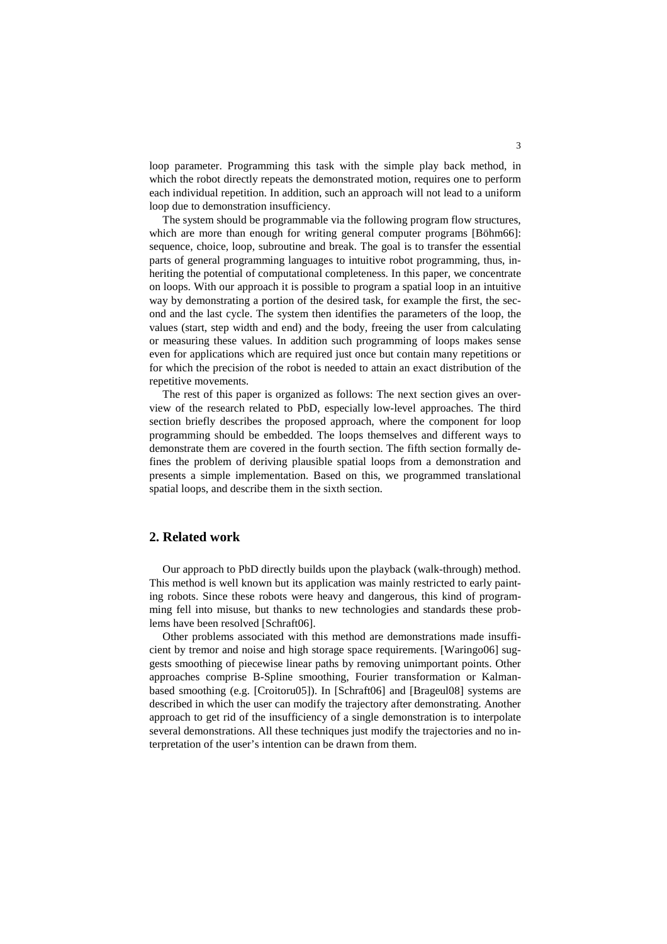loop parameter. Programming this task with the simple play back method, in which the robot directly repeats the demonstrated motion, requires one to perform each individual repetition. In addition, such an approach will not lead to a uniform loop due to demonstration insufficiency.

The system should be programmable via the following program flow structures, which are more than enough for writing general computer programs [Böhm66]: sequence, choice, loop, subroutine and break. The goal is to transfer the essential parts of general programming languages to intuitive robot programming, thus, inheriting the potential of computational completeness. In this paper, we concentrate on loops. With our approach it is possible to program a spatial loop in an intuitive way by demonstrating a portion of the desired task, for example the first, the second and the last cycle. The system then identifies the parameters of the loop, the values (start, step width and end) and the body, freeing the user from calculating or measuring these values. In addition such programming of loops makes sense even for applications which are required just once but contain many repetitions or for which the precision of the robot is needed to attain an exact distribution of the repetitive movements.

The rest of this paper is organized as follows: The next section gives an overview of the research related to PbD, especially low-level approaches. The third section briefly describes the proposed approach, where the component for loop programming should be embedded. The loops themselves and different ways to demonstrate them are covered in the fourth section. The fifth section formally defines the problem of deriving plausible spatial loops from a demonstration and presents a simple implementation. Based on this, we programmed translational spatial loops, and describe them in the sixth section.

### **2. Related work**

Our approach to PbD directly builds upon the playback (walk-through) method. This method is well known but its application was mainly restricted to early painting robots. Since these robots were heavy and dangerous, this kind of programming fell into misuse, but thanks to new technologies and standards these problems have been resolved [Schraft06].

Other problems associated with this method are demonstrations made insufficient by tremor and noise and high storage space requirements. [Waringo06] suggests smoothing of piecewise linear paths by removing unimportant points. Other approaches comprise B-Spline smoothing, Fourier transformation or Kalmanbased smoothing (e.g. [Croitoru05]). In [Schraft06] and [Brageul08] systems are described in which the user can modify the trajectory after demonstrating. Another approach to get rid of the insufficiency of a single demonstration is to interpolate several demonstrations. All these techniques just modify the trajectories and no interpretation of the user's intention can be drawn from them.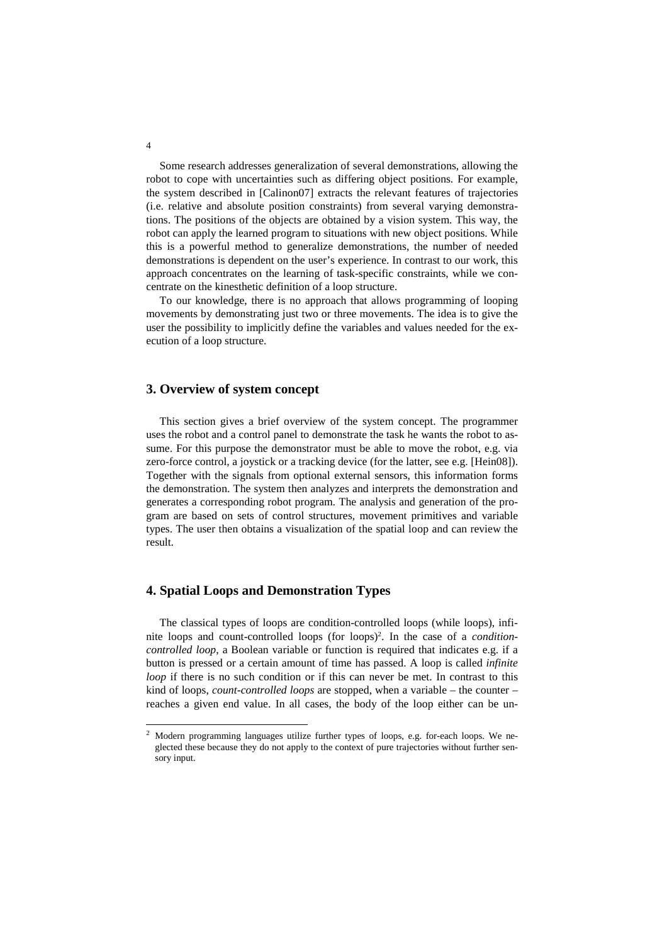Some research addresses generalization of several demonstrations, allowing the robot to cope with uncertainties such as differing object positions. For example, the system described in [Calinon07] extracts the relevant features of trajectories (i.e. relative and absolute position constraints) from several varying demonstrations. The positions of the objects are obtained by a vision system. This way, the robot can apply the learned program to situations with new object positions. While this is a powerful method to generalize demonstrations, the number of needed demonstrations is dependent on the user's experience. In contrast to our work, this approach concentrates on the learning of task-specific constraints, while we concentrate on the kinesthetic definition of a loop structure.

To our knowledge, there is no approach that allows programming of looping movements by demonstrating just two or three movements. The idea is to give the user the possibility to implicitly define the variables and values needed for the execution of a loop structure.

### **3. Overview of system concept**

This section gives a brief overview of the system concept. The programmer uses the robot and a control panel to demonstrate the task he wants the robot to assume. For this purpose the demonstrator must be able to move the robot, e.g. via zero-force control, a joystick or a tracking device (for the latter, see e.g. [Hein08]). Together with the signals from optional external sensors, this information forms the demonstration. The system then analyzes and interprets the demonstration and generates a corresponding robot program. The analysis and generation of the program are based on sets of control structures, movement primitives and variable types. The user then obtains a visualization of the spatial loop and can review the result.

#### **4. Spatial Loops and Demonstration Types**

The classical types of loops are condition-controlled loops (while loops), infinite loops and count-controlled loops (for loops)<sup>2</sup> . In the case of a *conditioncontrolled loop*, a Boolean variable or function is required that indicates e.g. if a button is pressed or a certain amount of time has passed. A loop is called *infinite loop* if there is no such condition or if this can never be met. In contrast to this kind of loops, *count-controlled loops* are stopped, when a variable – the counter – reaches a given end value. In all cases, the body of the loop either can be un-

4

-

<sup>&</sup>lt;sup>2</sup> Modern programming languages utilize further types of loops, e.g. for-each loops. We neglected these because they do not apply to the context of pure trajectories without further sensory input.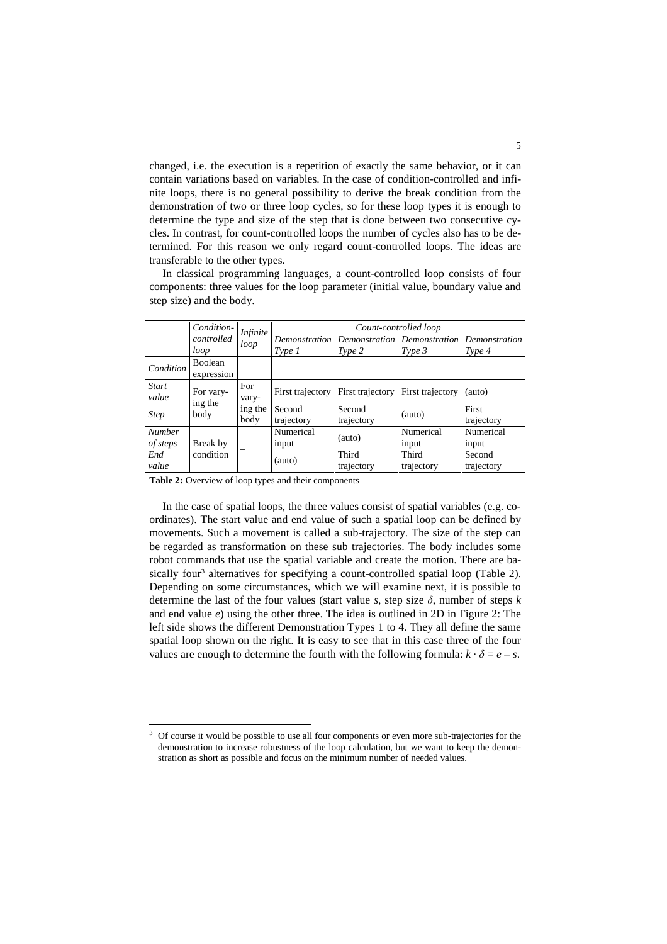changed, i.e. the execution is a repetition of exactly the same behavior, or it can contain variations based on variables. In the case of condition-controlled and infinite loops, there is no general possibility to derive the break condition from the demonstration of two or three loop cycles, so for these loop types it is enough to determine the type and size of the step that is done between two consecutive cycles. In contrast, for count-controlled loops the number of cycles also has to be determined. For this reason we only regard count-controlled loops. The ideas are transferable to the other types.

|                           | Condition-<br>controlled<br>loop | <i>Infinite</i>                 | Count-controlled loop |                                                                   |                     |                      |  |
|---------------------------|----------------------------------|---------------------------------|-----------------------|-------------------------------------------------------------------|---------------------|----------------------|--|
|                           |                                  | loop                            | Type 1                | Demonstration Demonstration Demonstration Demonstration<br>Type 2 | Type 3              | Type 4               |  |
| Condition                 | Boolean<br>expression            |                                 |                       |                                                                   |                     |                      |  |
| <b>Start</b><br>value     | For vary-<br>ing the<br>body     | For<br>vary-<br>ing the<br>body |                       | First trajectory First trajectory First trajectory                |                     | (auto)               |  |
| <b>Step</b>               |                                  |                                 | Second<br>trajectory  | Second<br>trajectory                                              | (auto)              | First<br>trajectory  |  |
| <b>Number</b><br>of steps | Break by<br>condition            |                                 | Numerical<br>input    | (auto)                                                            | Numerical<br>input  | Numerical<br>input   |  |
| End<br>value              |                                  |                                 | (auto)                | Third<br>trajectory                                               | Third<br>trajectory | Second<br>trajectory |  |

In classical programming languages, a count-controlled loop consists of four components: three values for the loop parameter (initial value, boundary value and step size) and the body.

**Table 2:** Overview of loop types and their components

 $\overline{a}$ 

In the case of spatial loops, the three values consist of spatial variables (e.g. coordinates). The start value and end value of such a spatial loop can be defined by movements. Such a movement is called a sub-trajectory. The size of the step can be regarded as transformation on these sub trajectories. The body includes some robot commands that use the spatial variable and create the motion. There are basically four<sup>3</sup> alternatives for specifying a count-controlled spatial loop (Table 2). Depending on some circumstances, which we will examine next, it is possible to determine the last of the four values (start value *s*, step size  $\delta$ , number of steps *k* and end value *e*) using the other three. The idea is outlined in 2D in Figure 2: The left side shows the different Demonstration Types 1 to 4. They all define the same spatial loop shown on the right. It is easy to see that in this case three of the four values are enough to determine the fourth with the following formula:  $k \cdot \delta = e - s$ .

<sup>3</sup> Of course it would be possible to use all four components or even more sub-trajectories for the demonstration to increase robustness of the loop calculation, but we want to keep the demonstration as short as possible and focus on the minimum number of needed values.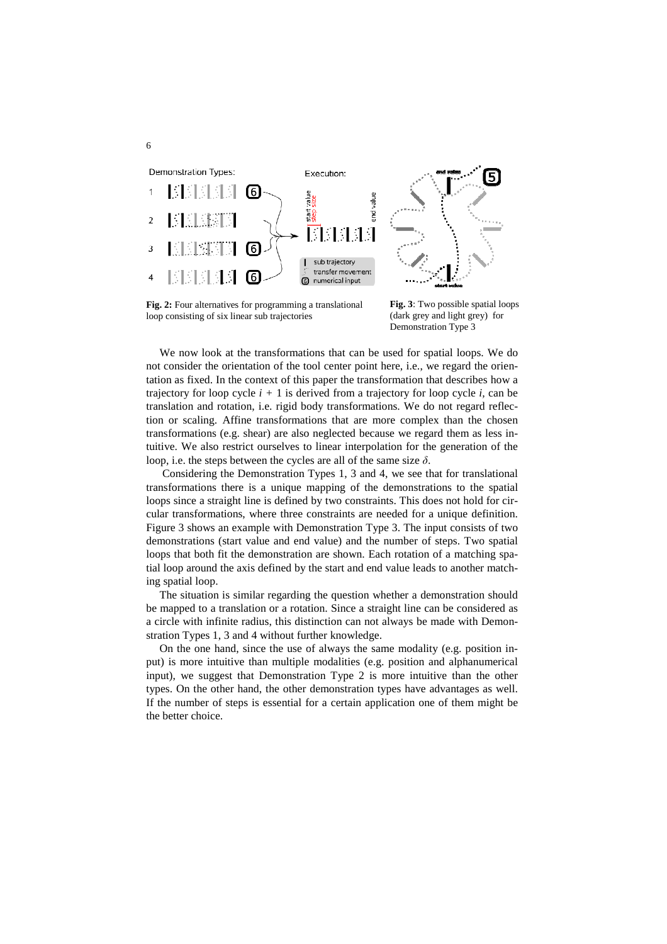

**Fig. 2:** Four alternatives for programming a translational loop consisting of six linear sub trajectories

6

**Fig. 3**: Two possible spatial loops (dark grey and light grey) for Demonstration Type 3

We now look at the transformations that can be used for spatial loops. We do not consider the orientation of the tool center point here, i.e., we regard the orientation as fixed. In the context of this paper the transformation that describes how a trajectory for loop cycle *i +* 1 is derived from a trajectory for loop cycle *i,* can be translation and rotation, i.e. rigid body transformations. We do not regard reflection or scaling. Affine transformations that are more complex than the chosen transformations (e.g. shear) are also neglected because we regard them as less intuitive. We also restrict ourselves to linear interpolation for the generation of the loop, i.e. the steps between the cycles are all of the same size *δ*.

 Considering the Demonstration Types 1, 3 and 4, we see that for translational transformations there is a unique mapping of the demonstrations to the spatial loops since a straight line is defined by two constraints. This does not hold for circular transformations, where three constraints are needed for a unique definition. Figure 3 shows an example with Demonstration Type 3. The input consists of two demonstrations (start value and end value) and the number of steps. Two spatial loops that both fit the demonstration are shown. Each rotation of a matching spatial loop around the axis defined by the start and end value leads to another matching spatial loop.

The situation is similar regarding the question whether a demonstration should be mapped to a translation or a rotation. Since a straight line can be considered as a circle with infinite radius, this distinction can not always be made with Demonstration Types 1, 3 and 4 without further knowledge.

On the one hand, since the use of always the same modality (e.g. position input) is more intuitive than multiple modalities (e.g. position and alphanumerical input), we suggest that Demonstration Type 2 is more intuitive than the other types. On the other hand, the other demonstration types have advantages as well. If the number of steps is essential for a certain application one of them might be the better choice.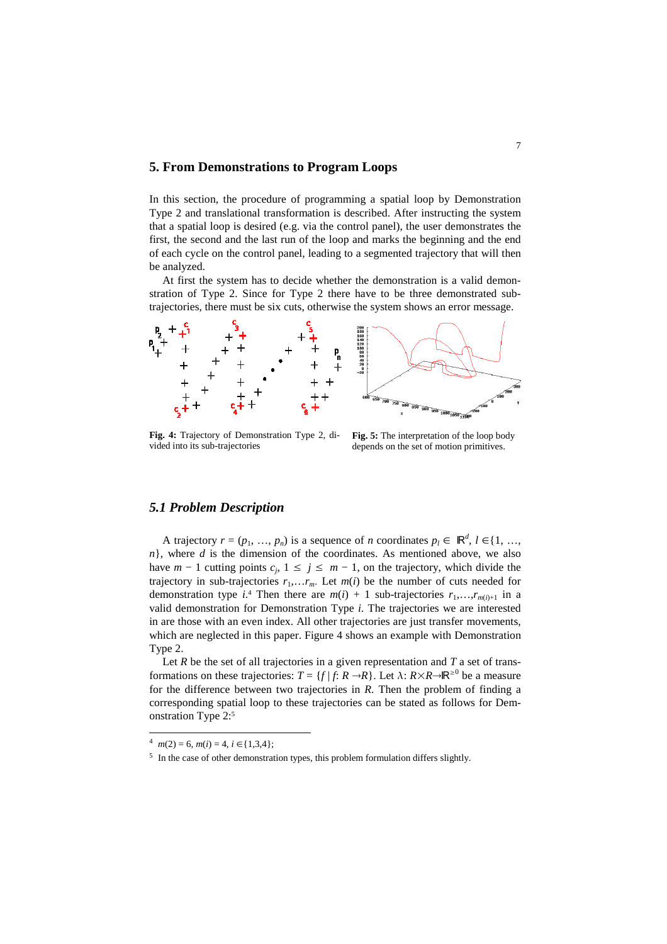### **5. From Demonstrations to Program Loops**

In this section, the procedure of programming a spatial loop by Demonstration Type 2 and translational transformation is described. After instructing the system that a spatial loop is desired (e.g. via the control panel), the user demonstrates the first, the second and the last run of the loop and marks the beginning and the end of each cycle on the control panel, leading to a segmented trajectory that will then be analyzed.

At first the system has to decide whether the demonstration is a valid demonstration of Type 2. Since for Type 2 there have to be three demonstrated subtrajectories, there must be six cuts, otherwise the system shows an error message.



**Fig. 4:** Trajectory of Demonstration Type 2, divided into its sub-trajectories

**Fig. 5:** The interpretation of the loop body depends on the set of motion primitives.

### *5.1 Problem Description*

A trajectory  $r = (p_1, ..., p_n)$  is a sequence of *n* coordinates  $p_l \in \mathbb{R}^d$ ,  $l \in \{1, ...,$ *n*}, where *d* is the dimension of the coordinates. As mentioned above, we also have  $m - 1$  cutting points  $c_j$ ,  $1 \le j \le m - 1$ , on the trajectory, which divide the trajectory in sub-trajectories  $r_1, \ldots, r_m$ . Let  $m(i)$  be the number of cuts needed for demonstration type  $i^4$ . Then there are  $m(i) + 1$  sub-trajectories  $r_1, \ldots, r_{m(i)+1}$  in a valid demonstration for Demonstration Type *i*. The trajectories we are interested in are those with an even index. All other trajectories are just transfer movements, which are neglected in this paper. Figure 4 shows an example with Demonstration Type 2.

Let  $R$  be the set of all trajectories in a given representation and  $T$  a set of transformations on these trajectories:  $T = \{f | f: R \rightarrow R\}$ . Let  $\lambda: R \times R \rightarrow \mathbb{R}^{\geq 0}$  be a measure for the difference between two trajectories in *R*. Then the problem of finding a corresponding spatial loop to these trajectories can be stated as follows for Demonstration Type 2:<sup>5</sup>

 $\overline{a}$ 

 $^4$  *m*(2) = 6, *m*(*i*) = 4, *i* ∈ {1,3,4};

<sup>&</sup>lt;sup>5</sup> In the case of other demonstration types, this problem formulation differs slightly.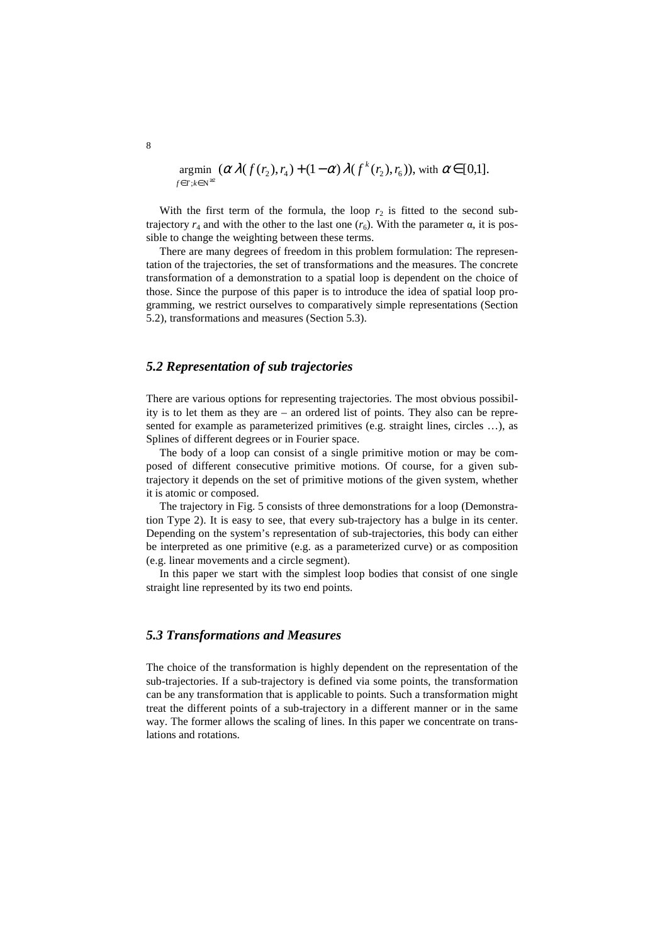$$
\underset{f \in T; k \in \mathbb{N}^{\geq 2}}{\operatorname{argmin}} (\alpha \lambda(f(r_2), r_4) + (1 - \alpha) \lambda(f^k(r_2), r_6)), \text{ with } \alpha \in [0,1].
$$

With the first term of the formula, the loop  $r<sub>2</sub>$  is fitted to the second subtrajectory  $r_4$  and with the other to the last one  $(r_6)$ . With the parameter α, it is possible to change the weighting between these terms.

There are many degrees of freedom in this problem formulation: The representation of the trajectories, the set of transformations and the measures. The concrete transformation of a demonstration to a spatial loop is dependent on the choice of those. Since the purpose of this paper is to introduce the idea of spatial loop programming, we restrict ourselves to comparatively simple representations (Section 5.2), transformations and measures (Section 5.3).

## *5.2 Representation of sub trajectories*

There are various options for representing trajectories. The most obvious possibility is to let them as they are – an ordered list of points. They also can be represented for example as parameterized primitives (e.g. straight lines, circles …), as Splines of different degrees or in Fourier space.

The body of a loop can consist of a single primitive motion or may be composed of different consecutive primitive motions. Of course, for a given subtrajectory it depends on the set of primitive motions of the given system, whether it is atomic or composed.

The trajectory in Fig. 5 consists of three demonstrations for a loop (Demonstration Type 2). It is easy to see, that every sub-trajectory has a bulge in its center. Depending on the system's representation of sub-trajectories, this body can either be interpreted as one primitive (e.g. as a parameterized curve) or as composition (e.g. linear movements and a circle segment).

In this paper we start with the simplest loop bodies that consist of one single straight line represented by its two end points.

### *5.3 Transformations and Measures*

The choice of the transformation is highly dependent on the representation of the sub-trajectories. If a sub-trajectory is defined via some points, the transformation can be any transformation that is applicable to points. Such a transformation might treat the different points of a sub-trajectory in a different manner or in the same way. The former allows the scaling of lines. In this paper we concentrate on translations and rotations.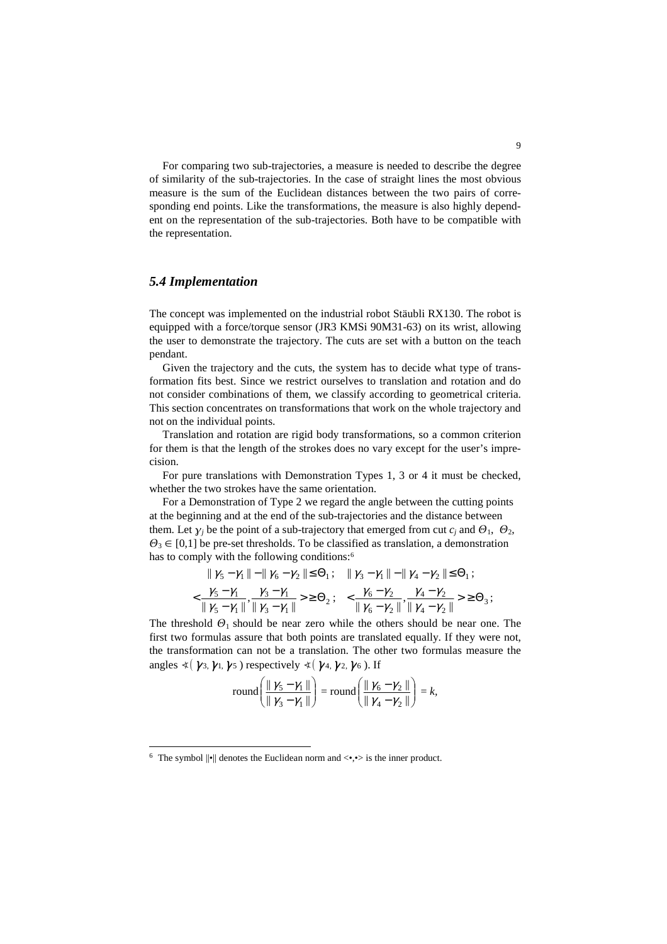For comparing two sub-trajectories, a measure is needed to describe the degree of similarity of the sub-trajectories. In the case of straight lines the most obvious measure is the sum of the Euclidean distances between the two pairs of corresponding end points. Like the transformations, the measure is also highly dependent on the representation of the sub-trajectories. Both have to be compatible with the representation.

### *5.4 Implementation*

 $\overline{a}$ 

The concept was implemented on the industrial robot Stäubli RX130. The robot is equipped with a force/torque sensor (JR3 KMSi 90M31-63) on its wrist, allowing the user to demonstrate the trajectory. The cuts are set with a button on the teach pendant.

Given the trajectory and the cuts, the system has to decide what type of transformation fits best. Since we restrict ourselves to translation and rotation and do not consider combinations of them, we classify according to geometrical criteria. This section concentrates on transformations that work on the whole trajectory and not on the individual points.

Translation and rotation are rigid body transformations, so a common criterion for them is that the length of the strokes does no vary except for the user's imprecision.

For pure translations with Demonstration Types 1, 3 or 4 it must be checked, whether the two strokes have the same orientation.

For a Demonstration of Type 2 we regard the angle between the cutting points at the beginning and at the end of the sub-trajectories and the distance between them. Let  $\gamma_j$  be the point of a sub-trajectory that emerged from cut  $c_j$  and  $\Theta_1$ ,  $\Theta_2$ ,  $\Theta_3 \in [0,1]$  be pre-set thresholds. To be classified as translation, a demonstration has to comply with the following conditions:<sup>6</sup>

$$
\| \gamma_5 - \gamma_1 \| - \| \gamma_6 - \gamma_2 \| \le \Theta_1; \quad \| \gamma_3 - \gamma_1 \| - \| \gamma_4 - \gamma_2 \| \le \Theta_1; \n\langle \frac{\gamma_5 - \gamma_1}{\| \gamma_5 - \gamma_1 \|}, \frac{\gamma_3 - \gamma_1}{\| \gamma_3 - \gamma_1 \|} \rangle \ge \Theta_2; \quad \langle \frac{\gamma_6 - \gamma_2}{\| \gamma_6 - \gamma_2 \|}, \frac{\gamma_4 - \gamma_2}{\| \gamma_4 - \gamma_2 \|} \rangle \ge \Theta_3;
$$

The threshold  $\Theta_1$  should be near zero while the others should be near one. The first two formulas assure that both points are translated equally. If they were not, the transformation can not be a translation. The other two formulas measure the angles  $\preccurlyeq$  ( $\gamma_3, \gamma_1, \gamma_5$ ) respectively  $\preccurlyeq$  ( $\gamma_4, \gamma_2, \gamma_6$ ). If

$$
round\left(\frac{\|\gamma_5-\gamma_1\|}{\|\gamma_3-\gamma_1\|}\right) = round\left(\frac{\|\gamma_6-\gamma_2\|}{\|\gamma_4-\gamma_2\|}\right) = k,
$$

<sup>&</sup>lt;sup>6</sup> The symbol  $\|\cdot\|$  denotes the Euclidean norm and  $\langle \cdot, \cdot \rangle$  is the inner product.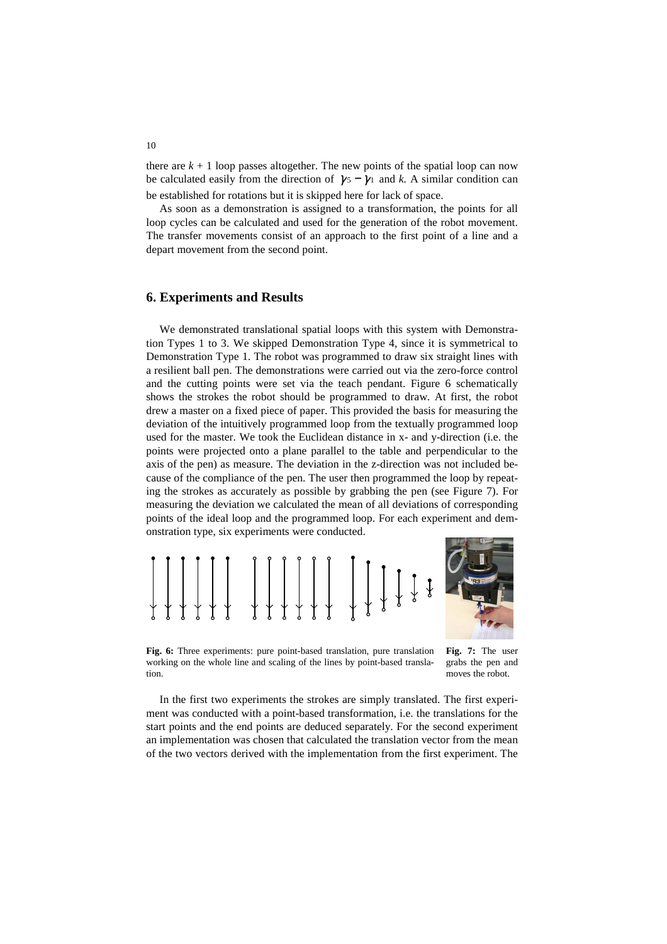there are  $k + 1$  loop passes altogether. The new points of the spatial loop can now be calculated easily from the direction of  $\gamma_5 - \gamma_1$  and *k*. A similar condition can be established for rotations but it is skipped here for lack of space.

As soon as a demonstration is assigned to a transformation, the points for all loop cycles can be calculated and used for the generation of the robot movement. The transfer movements consist of an approach to the first point of a line and a depart movement from the second point.

### **6. Experiments and Results**

We demonstrated translational spatial loops with this system with Demonstration Types 1 to 3. We skipped Demonstration Type 4, since it is symmetrical to Demonstration Type 1. The robot was programmed to draw six straight lines with a resilient ball pen. The demonstrations were carried out via the zero-force control and the cutting points were set via the teach pendant. Figure 6 schematically shows the strokes the robot should be programmed to draw. At first, the robot drew a master on a fixed piece of paper. This provided the basis for measuring the deviation of the intuitively programmed loop from the textually programmed loop used for the master. We took the Euclidean distance in x- and y-direction (i.e. the points were projected onto a plane parallel to the table and perpendicular to the axis of the pen) as measure. The deviation in the z-direction was not included because of the compliance of the pen. The user then programmed the loop by repeating the strokes as accurately as possible by grabbing the pen (see Figure 7). For measuring the deviation we calculated the mean of all deviations of corresponding points of the ideal loop and the programmed loop. For each experiment and demonstration type, six experiments were conducted.



**Fig. 6:** Three experiments: pure point-based translation, pure translation working on the whole line and scaling of the lines by point-based translation.

**Fig. 7:** The user grabs the pen and moves the robot.

In the first two experiments the strokes are simply translated. The first experiment was conducted with a point-based transformation, i.e. the translations for the start points and the end points are deduced separately. For the second experiment an implementation was chosen that calculated the translation vector from the mean of the two vectors derived with the implementation from the first experiment. The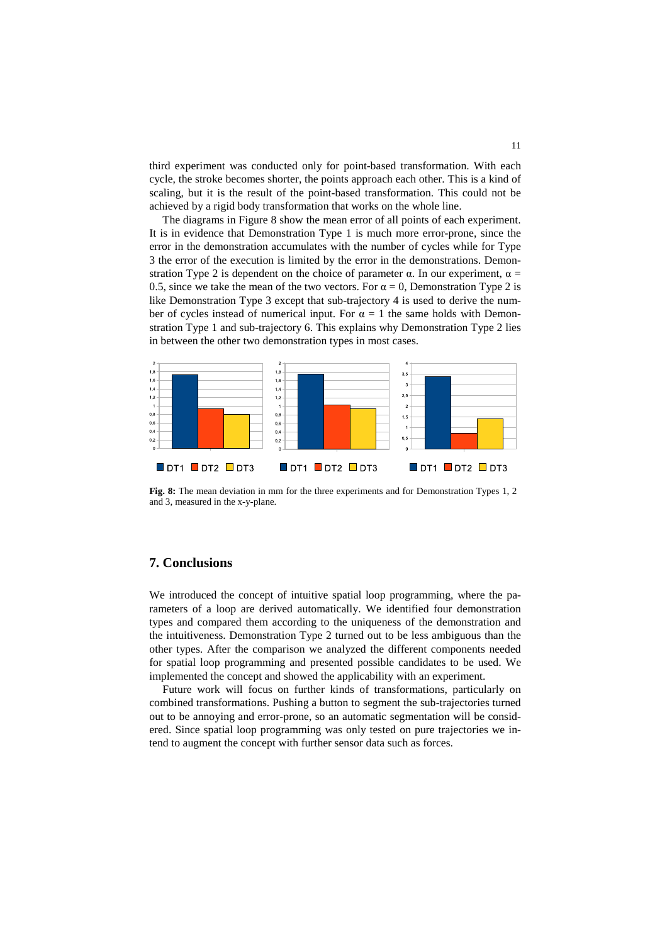third experiment was conducted only for point-based transformation. With each cycle, the stroke becomes shorter, the points approach each other. This is a kind of scaling, but it is the result of the point-based transformation. This could not be achieved by a rigid body transformation that works on the whole line.

The diagrams in Figure 8 show the mean error of all points of each experiment. It is in evidence that Demonstration Type 1 is much more error-prone, since the error in the demonstration accumulates with the number of cycles while for Type 3 the error of the execution is limited by the error in the demonstrations. Demonstration Type 2 is dependent on the choice of parameter  $\alpha$ . In our experiment,  $\alpha$  = 0.5, since we take the mean of the two vectors. For  $\alpha = 0$ , Demonstration Type 2 is like Demonstration Type 3 except that sub-trajectory 4 is used to derive the number of cycles instead of numerical input. For  $\alpha = 1$  the same holds with Demonstration Type 1 and sub-trajectory 6. This explains why Demonstration Type 2 lies in between the other two demonstration types in most cases.



**Fig. 8:** The mean deviation in mm for the three experiments and for Demonstration Types 1, 2 and 3, measured in the x-y-plane.

#### **7. Conclusions**

We introduced the concept of intuitive spatial loop programming, where the parameters of a loop are derived automatically. We identified four demonstration types and compared them according to the uniqueness of the demonstration and the intuitiveness. Demonstration Type 2 turned out to be less ambiguous than the other types. After the comparison we analyzed the different components needed for spatial loop programming and presented possible candidates to be used. We implemented the concept and showed the applicability with an experiment.

Future work will focus on further kinds of transformations, particularly on combined transformations. Pushing a button to segment the sub-trajectories turned out to be annoying and error-prone, so an automatic segmentation will be considered. Since spatial loop programming was only tested on pure trajectories we intend to augment the concept with further sensor data such as forces.